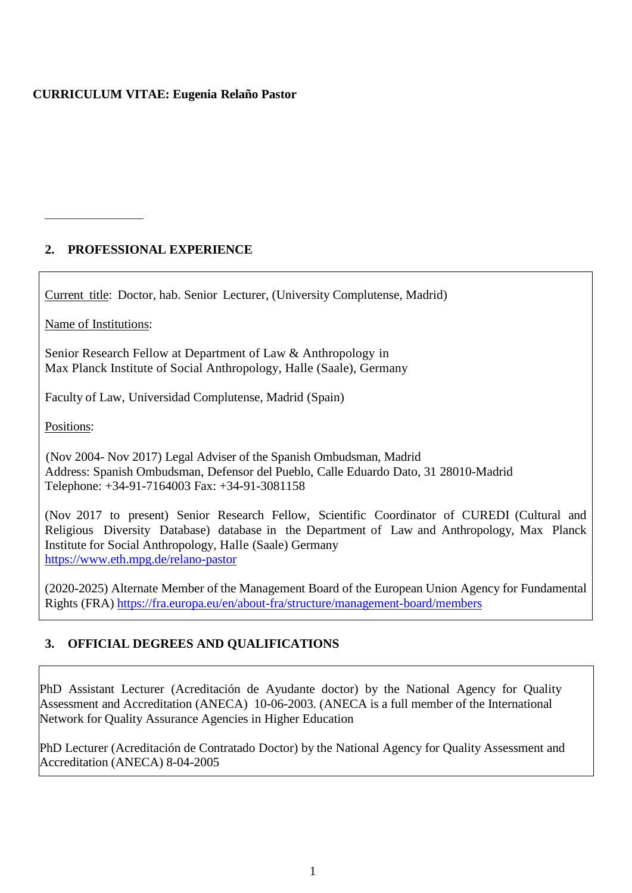#### **CURRICULUM VITAE: Eugenia Relaño Pastor**

## **2. PROFESSIONAL EXPERIENCE**

Current title: Doctor, hab. Senior Lecturer, (University Complutense, Madrid)

Name of Institutions:

Senior Research Fellow at Department of Law & Anthropology in Max Planck Institute of Social Anthropology, Halle (Saale), Germany

Faculty of Law, Universidad Complutense, Madrid (Spain)

Positions:

 (Nov 2004- Nov 2017) Legal Adviser of the Spanish Ombudsman, Madrid Address: Spanish Ombudsman, Defensor del Pueblo, Calle Eduardo Dato, 31 28010-Madrid Telephone: +34-91-7164003 Fax: +34-91-3081158

(Nov 2017 to present) Senior Research Fellow, Scientific Coordinator of CUREDI (Cultural and Religious Diversity Database) database in the Department of Law and Anthropology, Max Planck Institute for Social Anthropology, Halle (Saale) Germany <https://www.eth.mpg.de/relano-pastor>

(2020-2025) Alternate Member of the Management Board of the European Union Agency for Fundamental Rights (FRA) <https://fra.europa.eu/en/about-fra/structure/management-board/members>

# **3. OFFICIAL DEGREES AND QUALIFICATIONS**

PhD Assistant Lecturer (Acreditación de Ayudante doctor) by the National Agency for Quality Assessment and Accreditation (ANECA) 10-06-2003. (ANECA is a full member of the International Network for Quality Assurance Agencies in Higher Education

PhD Lecturer (Acreditación de Contratado Doctor) by the National Agency for Quality Assessment and Accreditation (ANECA) 8-04-2005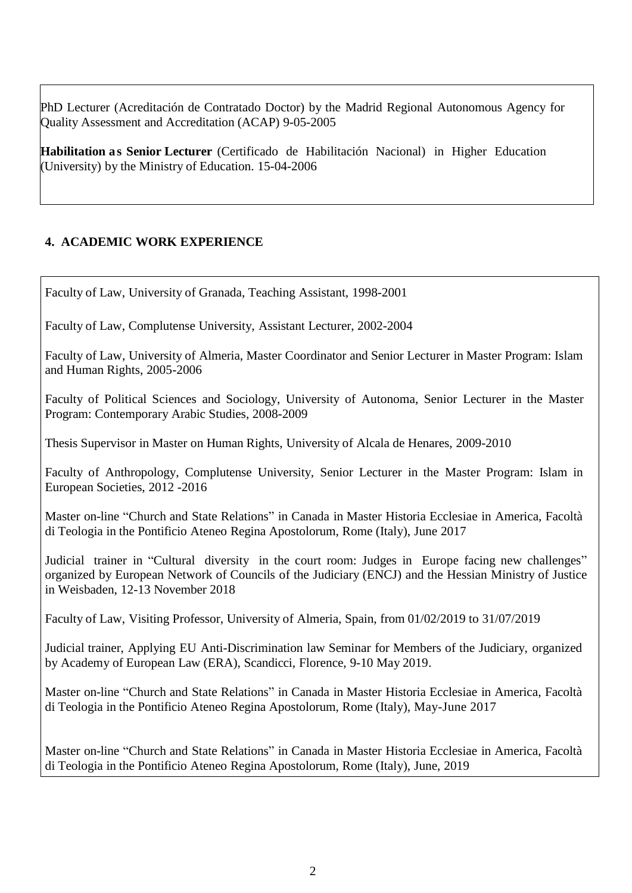PhD Lecturer (Acreditación de Contratado Doctor) by the Madrid Regional Autonomous Agency for Quality Assessment and Accreditation (ACAP) 9-05-2005

**Habilitation as Senior Lecturer** (Certificado de Habilitación Nacional) in Higher Education (University) by the Ministry of Education. 15-04-2006

# **4. ACADEMIC WORK EXPERIENCE**

Faculty of Law, University of Granada, Teaching Assistant, 1998-2001

Faculty of Law, Complutense University, Assistant Lecturer, 2002-2004

Faculty of Law, University of Almeria, Master Coordinator and Senior Lecturer in Master Program: Islam and Human Rights, 2005-2006

Faculty of Political Sciences and Sociology, University of Autonoma, Senior Lecturer in the Master Program: Contemporary Arabic Studies, 2008-2009

Thesis Supervisor in Master on Human Rights, University of Alcala de Henares, 2009-2010

Faculty of Anthropology, Complutense University, Senior Lecturer in the Master Program: Islam in European Societies, 2012 -2016

Master on-line "Church and State Relations" in Canada in Master Historia Ecclesiae in America, Facoltà di Teologia in the Pontificio Ateneo Regina Apostolorum, Rome (Italy), June 2017

Judicial trainer in "Cultural diversity in the court room: Judges in Europe facing new challenges" organized by European Network of Councils of the Judiciary (ENCJ) and the Hessian Ministry of Justice in Weisbaden, 12-13 November 2018

Faculty of Law, Visiting Professor, University of Almeria, Spain, from 01/02/2019 to 31/07/2019

Judicial trainer, Applying EU Anti-Discrimination law Seminar for Members of the Judiciary, organized by Academy of European Law (ERA), Scandicci, Florence, 9-10 May 2019.

Master on-line "Church and State Relations" in Canada in Master Historia Ecclesiae in America, Facoltà di Teologia in the Pontificio Ateneo Regina Apostolorum, Rome (Italy), May-June 2017

Master on-line "Church and State Relations" in Canada in Master Historia Ecclesiae in America, Facoltà di Teologia in the Pontificio Ateneo Regina Apostolorum, Rome (Italy), June, 2019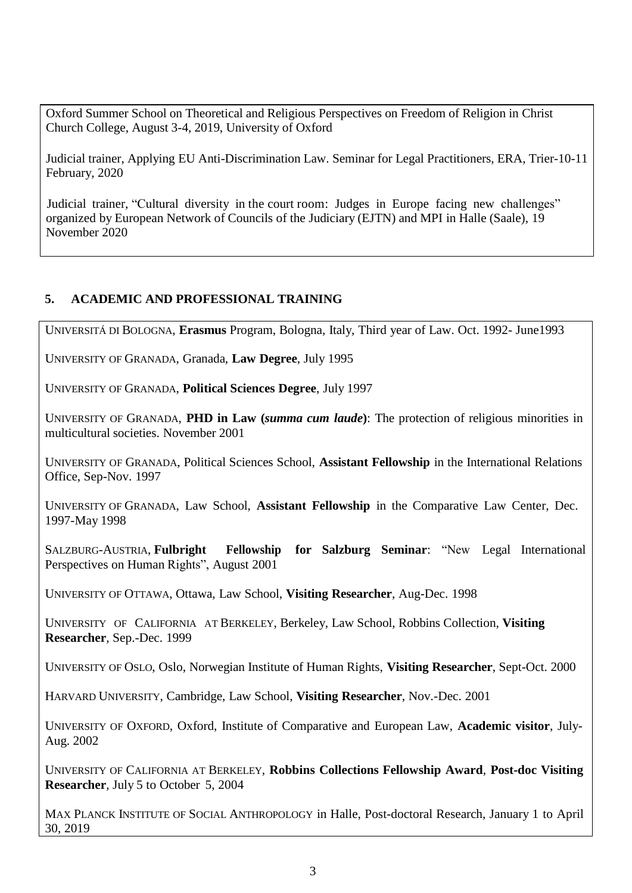Oxford Summer School on Theoretical and Religious Perspectives on Freedom of Religion in Christ Church College, August 3-4, 2019, University of Oxford

Judicial trainer, Applying EU Anti-Discrimination Law. Seminar for Legal Practitioners, ERA, Trier-10-11 February, 2020

Judicial trainer, "Cultural diversity in the court room: Judges in Europe facing new challenges" organized by European Network of Councils of the Judiciary (EJTN) and MPI in Halle (Saale), 19 November 2020

# **5. ACADEMIC AND PROFESSIONAL TRAINING**

UNIVERSITÁ DI BOLOGNA, **Erasmus** Program, Bologna, Italy, Third year of Law. Oct. 1992- June1993

UNIVERSITY OF GRANADA, Granada, **Law Degree**, July 1995

UNIVERSITY OF GRANADA, **Political Sciences Degree**, July 1997

UNIVERSITY OF GRANADA, **PHD in Law (***summa cum laude***)**: The protection of religious minorities in multicultural societies. November 2001

UNIVERSITY OF GRANADA, Political Sciences School, **Assistant Fellowship** in the International Relations Office, Sep-Nov. 1997

UNIVERSITY OF GRANADA, Law School, **Assistant Fellowship** in the Comparative Law Center, Dec. 1997-May 1998

SALZBURG-AUSTRIA, **Fulbright Fellowship for Salzburg Seminar**: "New Legal International Perspectives on Human Rights", August 2001

UNIVERSITY OF OTTAWA, Ottawa, Law School, **Visiting Researcher**, Aug-Dec. 1998

UNIVERSITY OF CALIFORNIA AT BERKELEY, Berkeley, Law School, Robbins Collection, **Visiting Researcher**, Sep.-Dec. 1999

UNIVERSITY OF OSLO, Oslo, Norwegian Institute of Human Rights, **Visiting Researcher**, Sept-Oct. 2000

HARVARD UNIVERSITY, Cambridge, Law School, **Visiting Researcher**, Nov.-Dec. 2001

UNIVERSITY OF OXFORD, Oxford, Institute of Comparative and European Law, **Academic visitor**, July-Aug. 2002

UNIVERSITY OF CALIFORNIA AT BERKELEY, **Robbins Collections Fellowship Award**, **Post-doc Visiting Researcher**, July 5 to October 5, 2004

MAX PLANCK INSTITUTE OF SOCIAL ANTHROPOLOGY in Halle, Post-doctoral Research, January 1 to April 30, 2019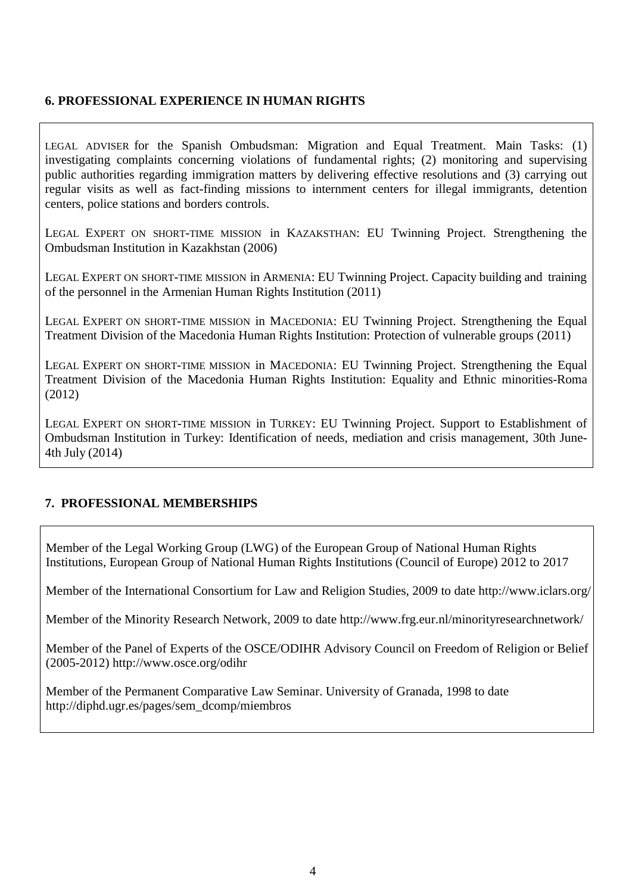#### **6. PROFESSIONAL EXPERIENCE IN HUMAN RIGHTS**

LEGAL ADVISER for the Spanish Ombudsman: Migration and Equal Treatment. Main Tasks: (1) investigating complaints concerning violations of fundamental rights; (2) monitoring and supervising public authorities regarding immigration matters by delivering effective resolutions and (3) carrying out regular visits as well as fact-finding missions to internment centers for illegal immigrants, detention centers, police stations and borders controls.

LEGAL EXPERT ON SHORT-TIME MISSION in KAZAKSTHAN: EU Twinning Project. Strengthening the Ombudsman Institution in Kazakhstan (2006)

LEGAL EXPERT ON SHORT-TIME MISSION in ARMENIA: EU Twinning Project. Capacity building and training of the personnel in the Armenian Human Rights Institution (2011)

LEGAL EXPERT ON SHORT-TIME MISSION in MACEDONIA: EU Twinning Project. Strengthening the Equal Treatment Division of the Macedonia Human Rights Institution: Protection of vulnerable groups (2011)

LEGAL EXPERT ON SHORT-TIME MISSION in MACEDONIA: EU Twinning Project. Strengthening the Equal Treatment Division of the Macedonia Human Rights Institution: Equality and Ethnic minorities-Roma (2012)

LEGAL EXPERT ON SHORT-TIME MISSION in TURKEY: EU Twinning Project. Support to Establishment of Ombudsman Institution in Turkey: Identification of needs, mediation and crisis management, 30th June-4th July (2014)

#### **7. PROFESSIONAL MEMBERSHIPS**

Member of the Legal Working Group (LWG) of the European Group of National Human Rights Institutions, European Group of National Human Rights Institutions (Council of Europe) 2012 to 2017

Member of the International Consortium for Law and Religion Studies, 2009 to date http://www.iclars.org/

Member of the Minority Research Network, 2009 to date http://www.frg.eur.nl/minorityresearchnetwork/

Member of the Panel of Experts of the OSCE/ODIHR Advisory Council on Freedom of Religion or Belief (2005-2012) http://www.osce.org/odihr

Member of the Permanent Comparative Law Seminar. University of Granada, 1998 to date http://diphd.ugr.es/pages/sem\_dcomp/miembros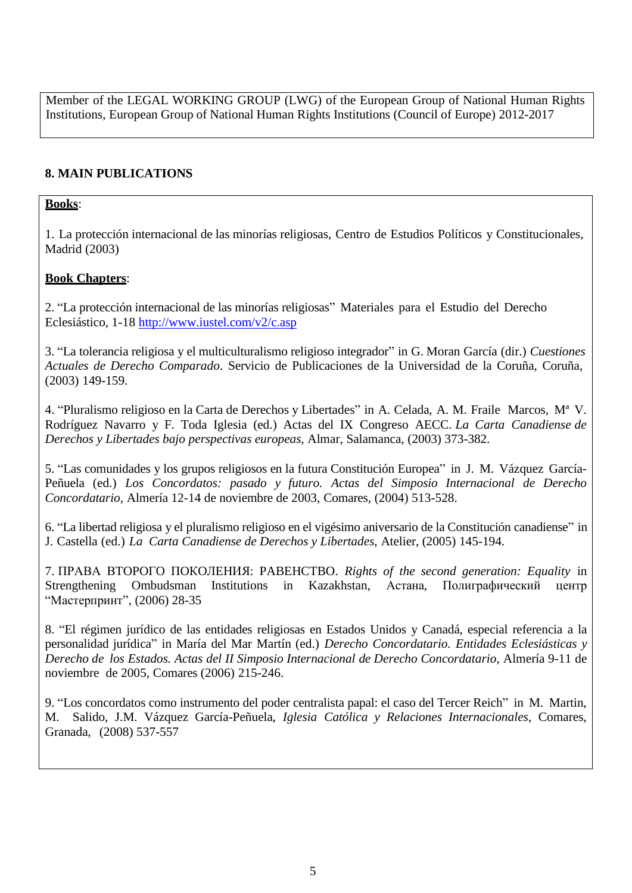Member of the LEGAL WORKING GROUP (LWG) of the European Group of National Human Rights Institutions, European Group of National Human Rights Institutions (Council of Europe) 2012-2017

# **8. MAIN PUBLICATIONS**

## **Books**:

1. La protección internacional de las minorías religiosas, Centro de Estudios Políticos y Constitucionales, Madrid (2003)

## **Book Chapters**:

2. "La protección internacional de las minorías religiosas" Materiales para el Estudio del Derecho Eclesiástico, 1-18 <http://www.iustel.com/v2/c.asp>

3. "La tolerancia religiosa y el multiculturalismo religioso integrador" in G. Moran García (dir.) *Cuestiones Actuales de Derecho Comparado*. Servicio de Publicaciones de la Universidad de la Coruña, Coruña, (2003) 149-159.

4. "Pluralismo religioso en la Carta de Derechos y Libertades" in A. Celada, A. M. Fraile Marcos, Mª V. Rodríguez Navarro y F. Toda Iglesia (ed.) Actas del IX Congreso AECC. *La Carta Canadiense de Derechos y Libertades bajo perspectivas europeas*, Almar, Salamanca, (2003) 373-382.

5. "Las comunidades y los grupos religiosos en la futura Constitución Europea" in J. M. Vázquez García-Peñuela (ed.) *Los Concordatos: pasado y futuro. Actas del Simposio Internacional de Derecho Concordatario,* Almería 12-14 de noviembre de 2003, Comares, (2004) 513-528.

6. "La libertad religiosa y el pluralismo religioso en el vigésimo aniversario de la Constitución canadiense" in J. Castella (ed.) *La Carta Canadiense de Derechos y Libertades*, Atelier, (2005) 145-194.

7. ПРАВА ВTOPOГO ПOКOЛEHИЯ: PABEHCTBO. *Rights of the second generation: Equality* in Strengthening Ombudsman Institutions in Kazakhstan, Астана, Полиграфический центр "Мастерпринт", (2006) 28-35

8. "El régimen jurídico de las entidades religiosas en Estados Unidos y Canadá, especial referencia a la personalidad jurídica" in María del Mar Martín (ed.) *Derecho Concordatario. Entidades Eclesiásticas y Derecho de los Estados. Actas del II Simposio Internacional de Derecho Concordatario*, Almería 9-11 de noviembre de 2005, Comares (2006) 215-246.

9. "Los concordatos como instrumento del poder centralista papal: el caso del Tercer Reich" in M. Martin, M. Salido, J.M. Vázquez García-Peñuela, *Iglesia Católica y Relaciones Internacionales*, Comares, Granada, (2008) 537-557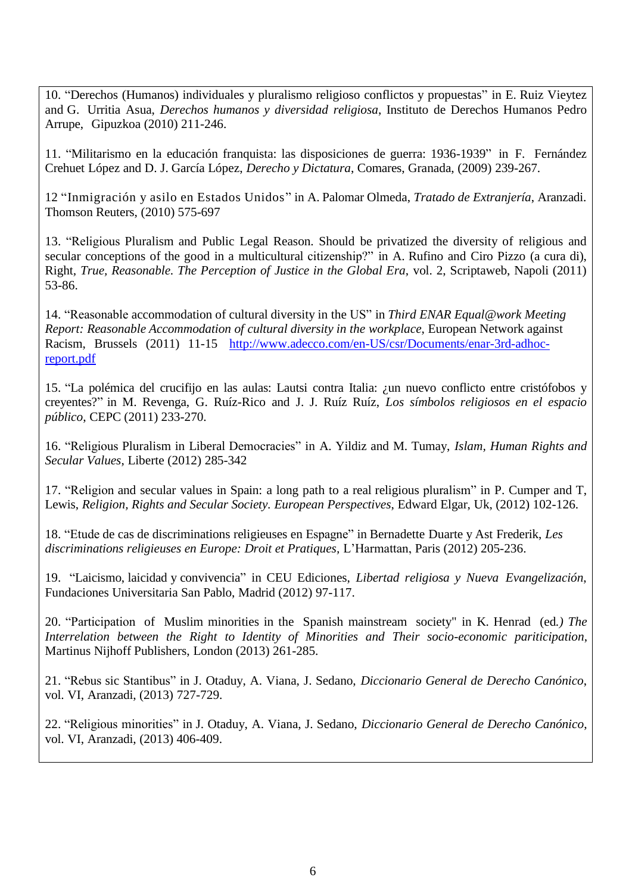10. "Derechos (Humanos) individuales y pluralismo religioso conflictos y propuestas" in E. Ruiz Vieytez and G. Urritia Asua, *Derechos humanos y diversidad religiosa*, Instituto de Derechos Humanos Pedro Arrupe, Gipuzkoa (2010) 211-246.

11. "Militarismo en la educación franquista: las disposiciones de guerra: 1936-1939" in F. Fernández Crehuet López and D. J. García López, *Derecho y Dictatura*, Comares, Granada, (2009) 239-267.

12 "Inmigración y asilo en Estados Unidos" in A. Palomar Olmeda, *Tratado de Extranjería*, Aranzadi. Thomson Reuters, (2010) 575-697

13. "Religious Pluralism and Public Legal Reason. Should be privatized the diversity of religious and secular conceptions of the good in a multicultural citizenship?" in A. Rufino and Ciro Pizzo (a cura di), Right*, True, Reasonable. The Perception of Justice in the Global Era*, vol. 2, Scriptaweb, Napoli (2011) 53-86.

14. "Reasonable accommodation of cultural diversity in the US" in *Third ENAR Equal@work Meeting Report: Reasonable Accommodation of cultural diversity in the workplace*, European Network against Racism, Brussels (2011) 11-15 [http://www.adecco.com/en-US/csr/Documents/enar-3rd-adhoc](http://www.adecco.com/en-US/csr/Documents/enar-3rd-adhoc-)report.pdf

15. "La polémica del crucifijo en las aulas: Lautsi contra Italia: ¿un nuevo conflicto entre cristófobos y creyentes?" in M. Revenga, G. Ruíz-Rico and J. J. Ruíz Ruíz, *Los símbolos religiosos en el espacio público*, CEPC (2011) 233-270.

16. "Religious Pluralism in Liberal Democracies" in A. Yildiz and M. Tumay, *Islam, Human Rights and Secular Values*, Liberte (2012) 285-342

17. "Religion and secular values in Spain: a long path to a real religious pluralism" in P. Cumper and T, Lewis, *Religion, Rights and Secular Society. European Perspectives*, Edward Elgar, Uk, (2012) 102-126.

18. "Etude de cas de discriminations religieuses en Espagne" in Bernadette Duarte y Ast Frederik, *Les discriminations religieuses en Europe: Droit et Pratiques,* L'Harmattan, Paris (2012) 205-236.

19. "Laicismo, laicidad y convivencia" in CEU Ediciones, *Libertad religiosa y Nueva Evangelización*, Fundaciones Universitaria San Pablo, Madrid (2012) 97-117.

20. "Participation of Muslim minorities in the Spanish mainstream society" in K. Henrad (ed*.) The Interrelation between the Right to Identity of Minorities and Their socio-economic pariticipation*, Martinus Nijhoff Publishers, London (2013) 261-285.

21. "Rebus sic Stantibus" in J. Otaduy, A. Viana, J. Sedano, *Diccionario General de Derecho Canónico*, vol. VI, Aranzadi, (2013) 727-729.

22. "Religious minorities" in J. Otaduy, A. Viana, J. Sedano, *Diccionario General de Derecho Canónico*, vol. VI, Aranzadi, (2013) 406-409.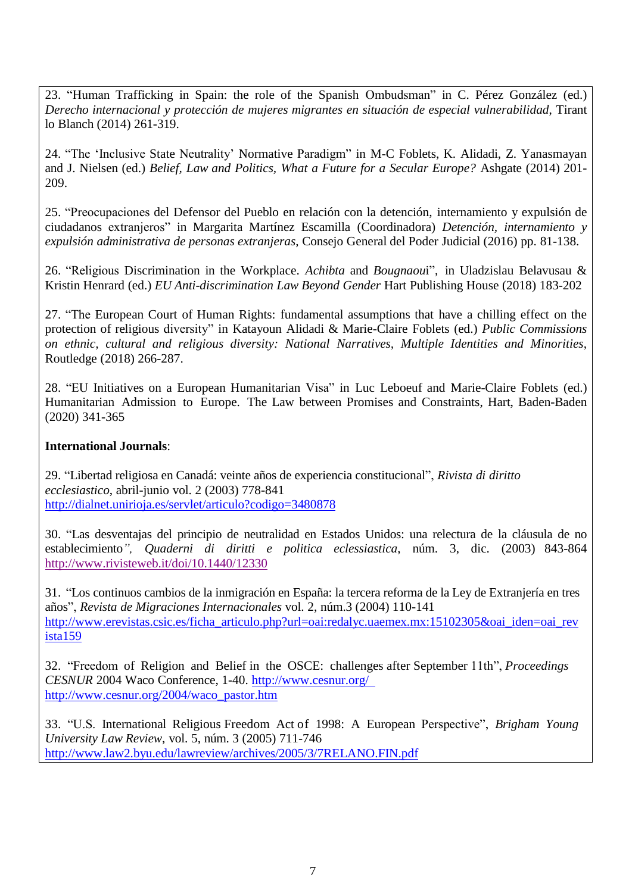23. "Human Trafficking in Spain: the role of the Spanish Ombudsman" in C. Pérez González (ed.) *Derecho internacional y protección de mujeres migrantes en situación de especial vulnerabilidad*, Tirant lo Blanch (2014) 261-319.

24. "The 'Inclusive State Neutrality' Normative Paradigm" in M-C Foblets, K. Alidadi, Z. Yanasmayan and J. Nielsen (ed.) *Belief, Law and Politics, What a Future for a Secular Europe?* Ashgate (2014) 201- 209.

25. "Preocupaciones del Defensor del Pueblo en relación con la detención, internamiento y expulsión de ciudadanos extranjeros" in Margarita Martínez Escamilla (Coordinadora) *Detención, internamiento y expulsión administrativa de personas extranjeras*, Consejo General del Poder Judicial (2016) pp. 81-138.

26. "Religious Discrimination in the Workplace. *Achibta* and *Bougnaou*i", in Uladzislau Belavusau & Kristin Henrard (ed.) *EU Anti-discrimination Law Beyond Gender* Hart Publishing House (2018) 183-202

27. "The European Court of Human Rights: fundamental assumptions that have a chilling effect on the protection of religious diversity" in Katayoun Alidadi & Marie-Claire Foblets (ed.) *Public Commissions on ethnic, cultural and religious diversity: National Narratives, Multiple Identities and Minorities*, Routledge (2018) 266-287.

28. "EU Initiatives on a European Humanitarian Visa" in Luc Leboeuf and Marie-Claire Foblets (ed.) Humanitarian Admission to Europe. The Law between Promises and Constraints, Hart, Baden-Baden (2020) 341-365

#### **International Journals**:

29. "Libertad religiosa en Canadá: veinte años de experiencia constitucional", *Rivista di diritto ecclesiastico*, abril-junio vol. 2 (2003) 778-841 <http://dialnet.unirioja.es/servlet/articulo?codigo=3480878>

30. "Las desventajas del principio de neutralidad en Estados Unidos: una relectura de la cláusula de no establecimiento*", Quaderni di diritti e politica eclessiastica*, núm. 3, dic. (2003) 843-864 <http://www.rivisteweb.it/doi/10.1440/12330>

31. "Los continuos cambios de la inmigración en España: la tercera reforma de la Ley de Extranjería en tres años", *Revista de Migraciones Internacionales* vol. 2, núm.3 (2004) 110-141 [http://www.erevistas.csic.es/ficha\\_articulo.php?url=oai:redalyc.uaemex.mx:15102305&oai\\_iden=oai\\_rev](http://www.erevistas.csic.es/ficha_articulo.php?url=oai:redalyc.uaemex.mx:15102305&oai_iden=oai_rev) ista159

32. "Freedom of Religion and Belief in the OSCE: challenges after September 11th", *Proceedings CESNUR* 2004 Waco Conference, 1-40. <http://www.cesnur.org/> [http://www.cesnur.org/2004/waco\\_pastor.htm](http://www.cesnur.org/2004/waco_pastor.htm)

33. "U.S. International Religious Freedom Act of 1998: A European Perspective", *Brigham Young University Law Review*, vol. 5, núm. 3 (2005) 711-746 <http://www.law2.byu.edu/lawreview/archives/2005/3/7RELANO.FIN.pdf>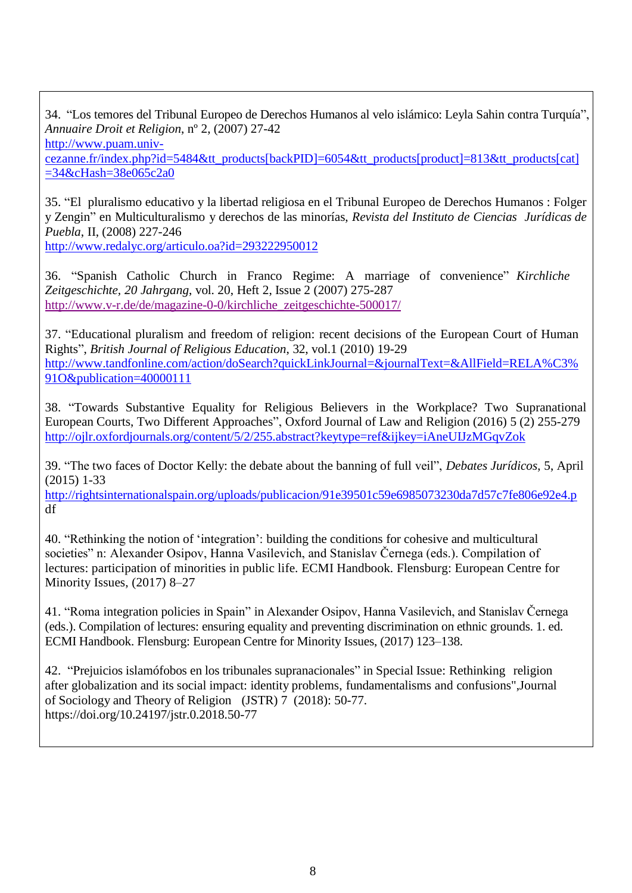34. "Los temores del Tribunal Europeo de Derechos Humanos al velo islámico: Leyla Sahin contra Turquía", *Annuaire Droit et Religion*, nº 2, (2007) 27-42

[http://www.puam.univ-](http://www.puam.univ-/)

cezanne.fr/index.php?id=5484&tt\_products[backPID]=6054&tt\_products[product]=813&tt\_products[cat] =34&cHash=38e065c2a0

35. "El pluralismo educativo y la libertad religiosa en el Tribunal Europeo de Derechos Humanos : Folger y Zengin" en Multiculturalismo y derechos de las minorías, *Revista del Instituto de Ciencias Jurídicas de Puebla*, II, (2008) 227-246

<http://www.redalyc.org/articulo.oa?id=293222950012>

36. "Spanish Catholic Church in Franco Regime: A marriage of convenience" *Kirchliche Zeitgeschichte, 20 Jahrgang*, vol. 20, Heft 2, Issue 2 (2007) 275-287 [http://www.v-r.de/de/magazine-0-0/kirchliche\\_zeitgeschichte-500017/](http://www.v-r.de/de/magazine-0-0/kirchliche_zeitgeschichte-500017/)

37. "Educational pluralism and freedom of religion: recent decisions of the European Court of Human Rights", *British Journal of Religious Education*, 32, vol.1 (2010) 19-29 [http://www.tandfonline.com/action/doSearch?quickLinkJournal=&journalText=&AllField=RELA%C3%](http://www.tandfonline.com/action/doSearch?quickLinkJournal&journalText&AllField=RELA%C3%25) 91O&publication=40000111

38. "Towards Substantive Equality for Religious Believers in the Workplace? Two Supranational European Courts, Two Different Approaches", Oxford Journal of Law and Religion (2016) 5 (2) 255-279 <http://ojlr.oxfordjournals.org/content/5/2/255.abstract?keytype=ref&ijkey=iAneUIJzMGqvZok>

39. "The two faces of Doctor Kelly: the debate about the banning of full veil", *Debates Jurídicos*, 5, April (2015) 1-33

<http://rightsinternationalspain.org/uploads/publicacion/91e39501c59e6985073230da7d57c7fe806e92e4.p> df

40. "Rethinking the notion of 'integration': building the conditions for cohesive and multicultural societies" n: Alexander Osipov, Hanna Vasilevich, and Stanislav Černega (eds.). Compilation of lectures: participation of minorities in public life. ECMI Handbook. Flensburg: European Centre for Minority Issues, (2017) 8–27

41. "Roma integration policies in Spain" in Alexander Osipov, Hanna Vasilevich, and Stanislav Černega (eds.). Compilation of lectures: ensuring equality and preventing discrimination on ethnic grounds. 1. ed. ECMI Handbook. Flensburg: European Centre for Minority Issues, (2017) 123–138.

42. "Prejuicios islamófobos en los tribunales supranacionales" in Special Issue: Rethinking religion after globalization and its social impact: identity problems, fundamentalisms and confusions",Journal of Sociology and Theory of Religion (JSTR) 7 (2018): 50-77. https://doi.org/10.24197/jstr.0.2018.50-77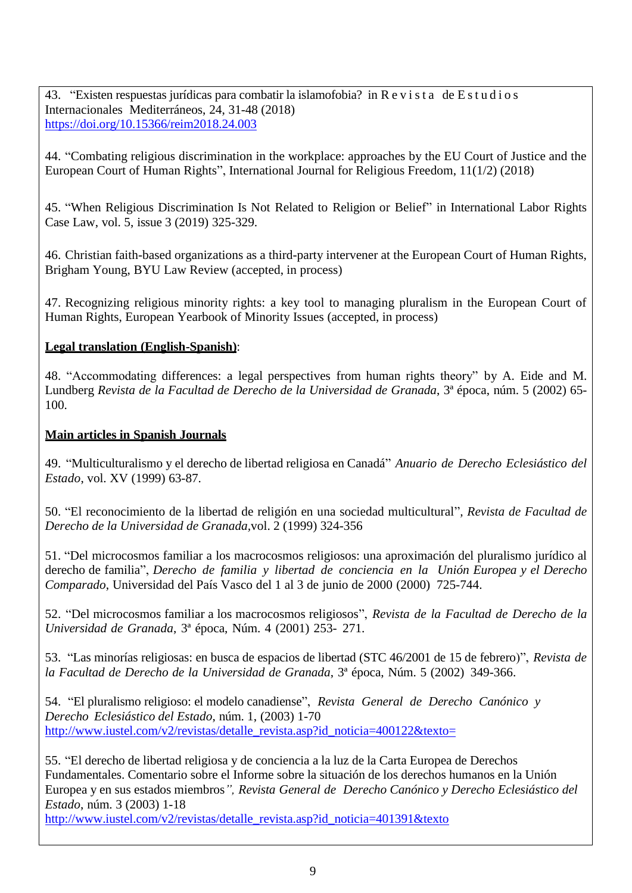43. "Existen respuestas jurídicas para combatir la islamofobia? in R e v i s t a de E s t u d i o s Internacionales Mediterráneos, 24, 31-48 (2018) <https://doi.org/10.15366/reim2018.24.003>

44. "Combating religious discrimination in the workplace: approaches by the EU Court of Justice and the European Court of Human Rights", International Journal for Religious Freedom, 11(1/2) (2018)

45. "When Religious Discrimination Is Not Related to Religion or Belief" in International Labor Rights Case Law, vol. 5, issue 3 (2019) 325-329.

46. Christian faith-based organizations as a third-party intervener at the European Court of Human Rights, Brigham Young, BYU Law Review (accepted, in process)

47. Recognizing religious minority rights: a key tool to managing pluralism in the European Court of Human Rights, European Yearbook of Minority Issues (accepted, in process)

## **Legal translation (English-Spanish)**:

48. "Accommodating differences: a legal perspectives from human rights theory" by A. Eide and M. Lundberg *Revista de la Facultad de Derecho de la Universidad de Granada*, 3ª época, núm. 5 (2002) 65- 100.

## **Main articles in Spanish Journals**

49. "Multiculturalismo y el derecho de libertad religiosa en Canadá" *Anuario de Derecho Eclesiástico del Estado*, vol. XV (1999) 63-87.

50. "El reconocimiento de la libertad de religión en una sociedad multicultural"*, Revista de Facultad de Derecho de la Universidad de Granada,*vol. 2 (1999) 324-356

51. "Del microcosmos familiar a los macrocosmos religiosos: una aproximación del pluralismo jurídico al derecho de familia", *Derecho de familia y libertad de conciencia en la Unión Europea y el Derecho Comparado*, Universidad del País Vasco del 1 al 3 de junio de 2000 (2000) 725-744.

52. "Del microcosmos familiar a los macrocosmos religiosos", *Revista de la Facultad de Derecho de la Universidad de Granada*, 3ª época, Núm. 4 (2001) 253- 271.

53. "Las minorías religiosas: en busca de espacios de libertad (STC 46/2001 de 15 de febrero)", *Revista de la Facultad de Derecho de la Universidad de Granada*, 3ª época, Núm. 5 (2002) 349-366.

54. "El pluralismo religioso: el modelo canadiense", *Revista General de Derecho Canónico y Derecho Eclesiástico del Estado*, núm. 1, (2003) 1-70 [http://www.iustel.com/v2/revistas/detalle\\_revista.asp?id\\_noticia=400122&texto=](http://www.iustel.com/v2/revistas/detalle_revista.asp?id_noticia=400122&texto=)

55. "El derecho de libertad religiosa y de conciencia a la luz de la Carta Europea de Derechos Fundamentales. Comentario sobre el Informe sobre la situación de los derechos humanos en la Unión Europea y en sus estados miembros*", Revista General de Derecho Canónico y Derecho Eclesiástico del Estado*, núm. 3 (2003) 1-18

[http://www.iustel.com/v2/revistas/detalle\\_revista.asp?id\\_noticia=401391&texto](http://www.iustel.com/v2/revistas/detalle_revista.asp?id_noticia=401391&texto)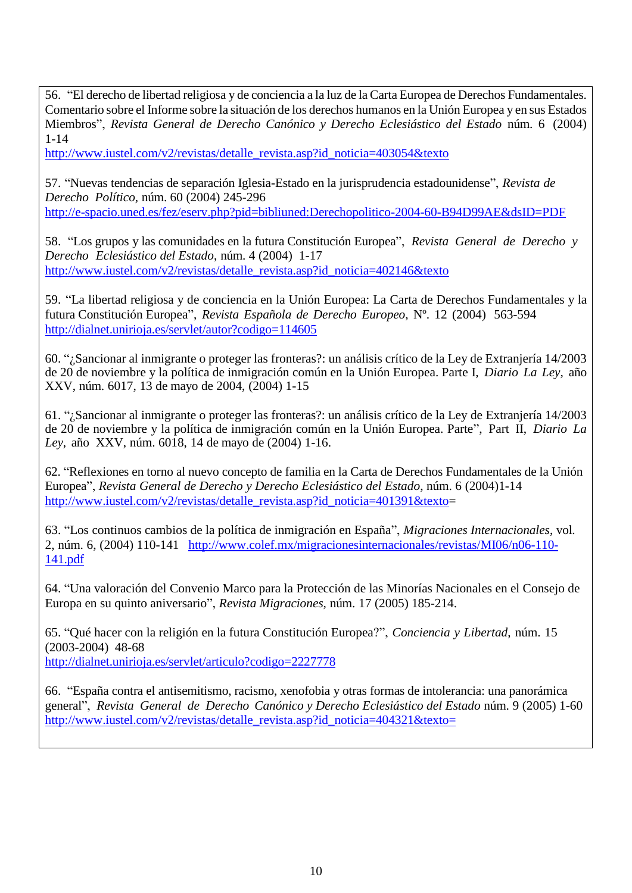56. "El derecho de libertad religiosa y de conciencia a la luz de la Carta Europea de Derechos Fundamentales. Comentario sobre el Informe sobre la situación de los derechos humanos en la Unión Europea y en sus Estados Miembros", *Revista General de Derecho Canónico y Derecho Eclesiástico del Estado* núm. 6 (2004) 1-14

[http://www.iustel.com/v2/revistas/detalle\\_revista.asp?id\\_noticia=403054&texto](http://www.iustel.com/v2/revistas/detalle_revista.asp?id_noticia=403054&texto)

57. "Nuevas tendencias de separación Iglesia-Estado en la jurisprudencia estadounidense", *Revista de Derecho Político*, núm. 60 (2004) 245-296 [http://e-spacio.uned.es/fez/eserv.php?pid=bibliuned:Derechopolitico-2004-60-B94D99AE&dsID=PDF](http://e-spacio.uned.es/fez/eserv.php?pid=bibliuned%3ADerechopolitico-2004-60-B94D99AE&dsID=PDF)

58. "Los grupos y las comunidades en la futura Constitución Europea", *Revista General de Derecho y Derecho Eclesiástico del Estado*, núm. 4 (2004) 1-17 [http://www.iustel.com/v2/revistas/detalle\\_revista.asp?id\\_noticia=402146&texto](http://www.iustel.com/v2/revistas/detalle_revista.asp?id_noticia=402146&texto)

59. "La libertad religiosa y de conciencia en la Unión Europea: La Carta de Derechos Fundamentales y la futura Constitución Europea", *Revista Española de Derecho Europeo*, Nº. 12 (2004) 563-594 <http://dialnet.unirioja.es/servlet/autor?codigo=114605>

60. "¿Sancionar al inmigrante o proteger las fronteras?: un análisis crítico de la Ley de Extranjería 14/2003 de 20 de noviembre y la política de inmigración común en la Unión Europea. Parte I, *Diario La Ley*, año XXV, núm. 6017, 13 de mayo de 2004, (2004) 1-15

61. "¿Sancionar al inmigrante o proteger las fronteras?: un análisis crítico de la Ley de Extranjería 14/2003 de 20 de noviembre y la política de inmigración común en la Unión Europea. Parte", Part II, *Diario La Ley*, año XXV, núm. 6018, 14 de mayo de (2004) 1-16.

62. "Reflexiones en torno al nuevo concepto de familia en la Carta de Derechos Fundamentales de la Unión Europea", *Revista General de Derecho y Derecho Eclesiástico del Estado*, núm. 6 (2004)1-14 [http://www.iustel.com/v2/revistas/detalle\\_revista.asp?id\\_noticia=401391&texto=](http://www.iustel.com/v2/revistas/detalle_revista.asp?id_noticia=401391&texto)

63. "Los continuos cambios de la política de inmigración en España", *Migraciones Internacionales*, vol. 2, núm. 6, (2004) 110-141 [http://www.colef.mx/migracionesinternacionales/revistas/MI06/n06-110-](http://www.colef.mx/migracionesinternacionales/revistas/MI06/n06-110-141.pdf) [141.pdf](http://www.colef.mx/migracionesinternacionales/revistas/MI06/n06-110-141.pdf)

64. "Una valoración del Convenio Marco para la Protección de las Minorías Nacionales en el Consejo de Europa en su quinto aniversario", *Revista Migraciones*, núm. 17 (2005) 185-214.

65. "Qué hacer con la religión en la futura Constitución Europea?", *Conciencia y Libertad*, núm. 15 (2003-2004) 48-68 <http://dialnet.unirioja.es/servlet/articulo?codigo=2227778>

66. "España contra el antisemitismo, racismo, xenofobia y otras formas de intolerancia: una panorámica general", *Revista General de Derecho Canónico y Derecho Eclesiástico del Estado* núm. 9 (2005) 1-60 [http://www.iustel.com/v2/revistas/detalle\\_revista.asp?id\\_noticia=404321&texto=](http://www.iustel.com/v2/revistas/detalle_revista.asp?id_noticia=404321&texto=)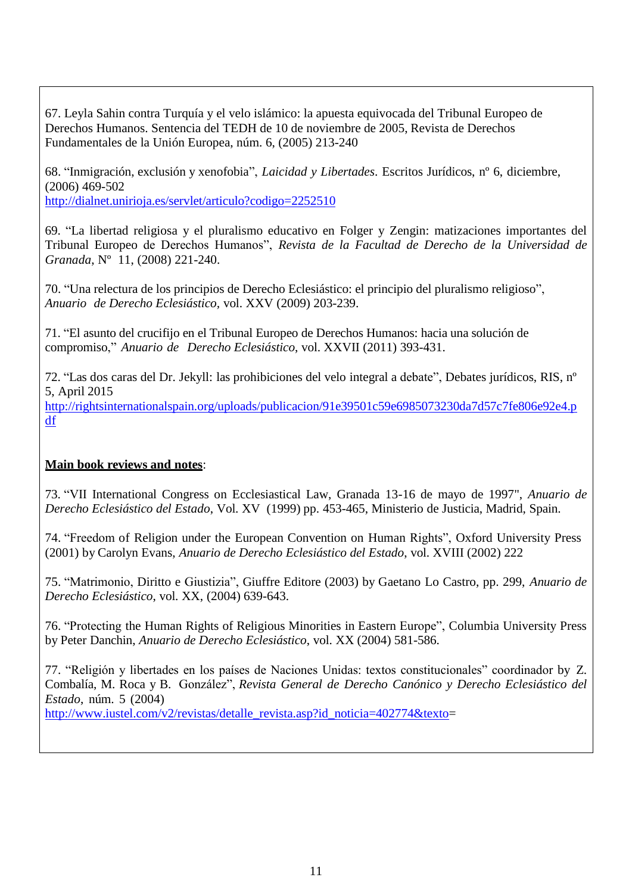67. Leyla Sahin contra Turquía y el velo islámico: la apuesta equivocada del Tribunal Europeo de Derechos Humanos. Sentencia del TEDH de 10 de noviembre de 2005, Revista de Derechos Fundamentales de la Unión Europea, núm. 6, (2005) 213-240

68. "Inmigración, exclusión y xenofobia", *Laicidad y Libertades*. Escritos Jurídicos, nº 6, diciembre, (2006) 469-502

<http://dialnet.unirioja.es/servlet/articulo?codigo=2252510>

69. "La libertad religiosa y el pluralismo educativo en Folger y Zengin: matizaciones importantes del Tribunal Europeo de Derechos Humanos", *Revista de la Facultad de Derecho de la Universidad de Granada*, Nº 11, (2008) 221-240.

70. "Una relectura de los principios de Derecho Eclesiástico: el principio del pluralismo religioso", *Anuario de Derecho Eclesiástico,* vol. XXV (2009) 203-239.

71. "El asunto del crucifijo en el Tribunal Europeo de Derechos Humanos: hacia una solución de compromiso," *Anuario de Derecho Eclesiástico*, vol. XXVII (2011) 393-431.

72. "Las dos caras del Dr. Jekyll: las prohibiciones del velo integral a debate", Debates jurídicos, RIS, nº 5, April 2015

<http://rightsinternationalspain.org/uploads/publicacion/91e39501c59e6985073230da7d57c7fe806e92e4.p> df

# **Main book reviews and notes**:

73. "VII International Congress on Ecclesiastical Law, Granada 13-16 de mayo de 1997", *Anuario de Derecho Eclesiástico del Estado*, Vol. XV (1999) pp. 453-465, Ministerio de Justicia, Madrid, Spain.

74. "Freedom of Religion under the European Convention on Human Rights", Oxford University Press (2001) by Carolyn Evans, *Anuario de Derecho Eclesiástico del Estado*, vol. XVIII (2002) 222

75. "Matrimonio, Diritto e Giustizia", Giuffre Editore (2003) by Gaetano Lo Castro, pp. 299, *Anuario de Derecho Eclesiástico*, vol. XX, (2004) 639-643.

76. "Protecting the Human Rights of Religious Minorities in Eastern Europe", Columbia University Press by Peter Danchin, *Anuario de Derecho Eclesiástico*, vol. XX (2004) 581-586.

77. "Religión y libertades en los países de Naciones Unidas: textos constitucionales" coordinador by Z. Combalía, M. Roca y B. González", *Revista General de Derecho Canónico y Derecho Eclesiástico del Estado*, núm. 5 (2004)

[http://www.iustel.com/v2/revistas/detalle\\_revista.asp?id\\_noticia=402774&texto=](http://www.iustel.com/v2/revistas/detalle_revista.asp?id_noticia=402774&texto)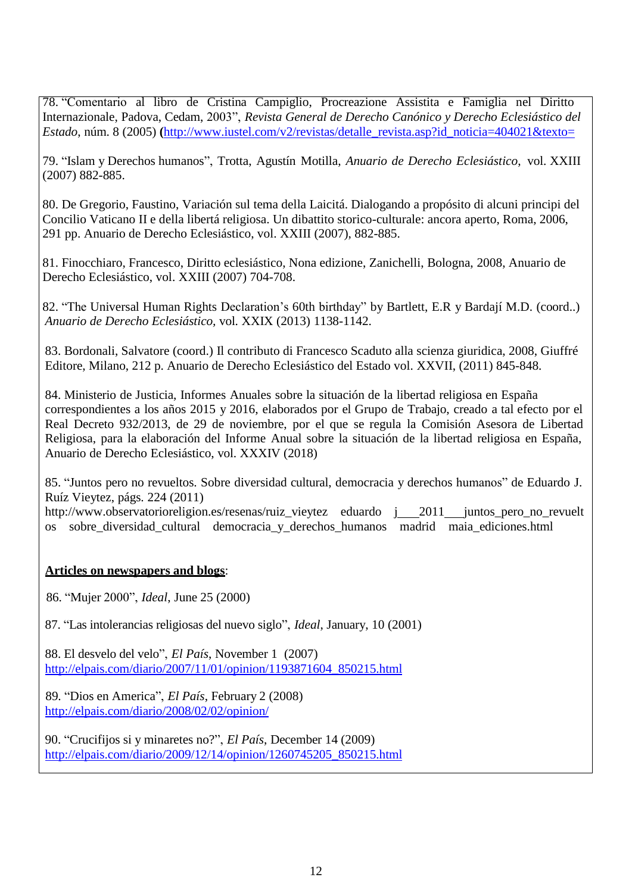78. "Comentario al libro de Cristina Campiglio, Procreazione Assistita e Famiglia nel Diritto Internazionale, Padova, Cedam, 2003", *Revista General de Derecho Canónico y Derecho Eclesiástico del Estado*, núm. 8 (2005) **(**[http://www.iustel.com/v2/revistas/detalle\\_revista.asp?id\\_noticia=404021&texto=](http://www.iustel.com/v2/revistas/detalle_revista.asp?id_noticia=404021&texto=)

79. "Islam y Derechos humanos", Trotta, Agustín Motilla, *Anuario de Derecho Eclesiástico*, vol. XXIII (2007) 882-885.

80. De Gregorio, Faustino, Variación sul tema della Laicitá. Dialogando a propósito di alcuni principi del Concilio Vaticano II e della libertá religiosa. Un dibattito storico-culturale: ancora aperto, Roma, 2006, 291 pp. Anuario de Derecho Eclesiástico, vol. XXIII (2007), 882-885.

81. Finocchiaro, Francesco, Diritto eclesiástico, Nona edizione, Zanichelli, Bologna, 2008, Anuario de Derecho Eclesiástico, vol. XXIII (2007) 704-708.

82. "The Universal Human Rights Declaration's 60th birthday" by Bartlett, E.R y Bardají M.D. (coord..) *Anuario de Derecho Eclesiástico,* vol. XXIX (2013) 1138-1142.

83. Bordonali, Salvatore (coord.) Il contributo di Francesco Scaduto alla scienza giuridica, 2008, Giuffré Editore, Milano, 212 p. Anuario de Derecho Eclesiástico del Estado vol. XXVII, (2011) 845-848.

84. Ministerio de Justicia, Informes Anuales sobre la situación de la libertad religiosa en España correspondientes a los años 2015 y 2016, elaborados por el Grupo de Trabajo, creado a tal efecto por el Real Decreto 932/2013, de 29 de noviembre, por el que se regula la Comisión Asesora de Libertad Religiosa, para la elaboración del Informe Anual sobre la situación de la libertad religiosa en España, Anuario de Derecho Eclesiástico, vol. XXXIV (2018)

85. "Juntos pero no revueltos. Sobre diversidad cultural, democracia y derechos humanos" de Eduardo J. Ruíz Vieytez, págs. 224 (2011)

[http://www.observatorioreligion.es/resenas/ruiz\\_vieytez](http://www.observatorioreligion.es/resenas/ruiz_vieytez) eduardo j\_2011\_juntos\_pero\_no\_revuelt os sobre\_diversidad\_cultural democracia\_y\_derechos\_humanos madrid maia\_ediciones.html

#### **Articles on newspapers and blogs**:

86. "Mujer 2000", *Ideal*, June 25 (2000)

87. "Las intolerancias religiosas del nuevo siglo", *Ideal*, January, 10 (2001)

88. El desvelo del velo", *El País*, November 1 (2007) [http://elpais.com/diario/2007/11/01/opinion/1193871604\\_850215.html](http://elpais.com/diario/2007/11/01/opinion/1193871604_850215.html)

 89. "Dios en America", *El País*, February 2 (2008) <http://elpais.com/diario/2008/02/02/opinion/>

90. "Crucifijos si y minaretes no?", *El País*, December 14 (2009) [http://elpais.com/diario/2009/12/14/opinion/1260745205\\_850215.html](http://elpais.com/diario/2009/12/14/opinion/1260745205_850215.html)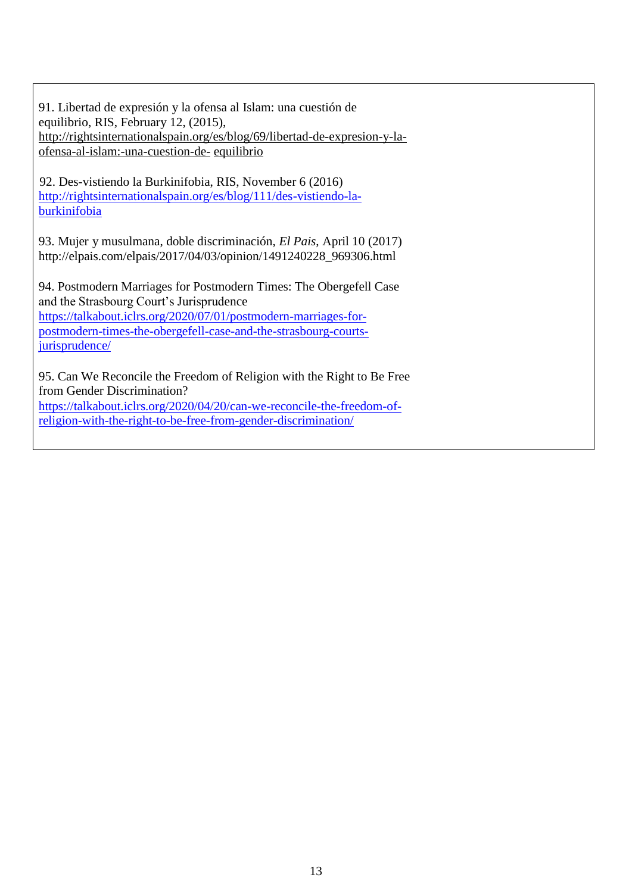91. Libertad de expresión y la ofensa al Islam: una cuestión de equilibrio, RIS, February 12, (2015), http://rightsinternationalspain.org/es/blog/69/libertad-de-expresion-y-laofensa-al-islam:-una-cuestion-de- equilibrio

92. Des-vistiendo la Burkinifobia, RIS, November 6 (2016) [http://rightsinternationalspain.org/es/blog/111/des-vistiendo-la](http://rightsinternationalspain.org/es/blog/111/des-vistiendo-la-burkinifobia)[burkinifobia](http://rightsinternationalspain.org/es/blog/111/des-vistiendo-la-burkinifobia)

93. Mujer y musulmana, doble discriminación, *El Pais*, April 10 (2017[\)](http://elpais.com/elpais/2017/04/03/opinion/1491240228_969306.html) [http://elpais.com/elpais/2017/04/03/opinion/1491240228\\_969306.html](http://elpais.com/elpais/2017/04/03/opinion/1491240228_969306.html)

94. Postmodern Marriages for Postmodern Times: The Obergefell Case and the Strasbourg Court's Jurisprudence [https://talkabout.iclrs.org/2020/07/01/postmodern-marriages-for](https://talkabout.iclrs.org/2020/07/01/postmodern-marriages-for-postmodern-times-the-obergefell-case-and-the-strasbourg-courts-jurisprudence/)[postmodern-times-the-obergefell-case-and-the-strasbourg-courts](https://talkabout.iclrs.org/2020/07/01/postmodern-marriages-for-postmodern-times-the-obergefell-case-and-the-strasbourg-courts-jurisprudence/)[jurisprudence/](https://talkabout.iclrs.org/2020/07/01/postmodern-marriages-for-postmodern-times-the-obergefell-case-and-the-strasbourg-courts-jurisprudence/)

95. Can We Reconcile the Freedom of Religion with the Right to Be Free from Gender Discrimination? [https://talkabout.iclrs.org/2020/04/20/can-we-reconcile-the-freedom-of-](https://talkabout.iclrs.org/2020/04/20/can-we-reconcile-the-freedom-of-religion-with-the-right-to-be-free-from-gender-discrimination/)

[religion-with-the-right-to-be-free-from-gender-discrimination/](https://talkabout.iclrs.org/2020/04/20/can-we-reconcile-the-freedom-of-religion-with-the-right-to-be-free-from-gender-discrimination/)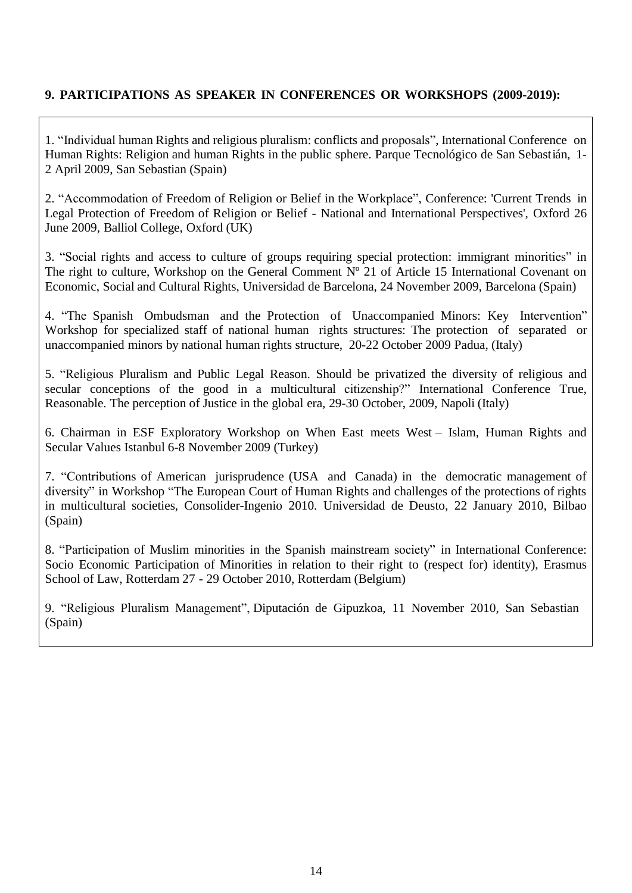# **9. PARTICIPATIONS AS SPEAKER IN CONFERENCES OR WORKSHOPS (2009-2019):**

1. "Individual human Rights and religious pluralism: conflicts and proposals", International Conference on Human Rights: Religion and human Rights in the public sphere. Parque Tecnológico de San Sebastián, 1- 2 April 2009, San Sebastian (Spain)

2. "Accommodation of Freedom of Religion or Belief in the Workplace", Conference: 'Current Trends in Legal Protection of Freedom of Religion or Belief - National and International Perspectives', Oxford 26 June 2009, Balliol College, Oxford (UK)

3. "Social rights and access to culture of groups requiring special protection: immigrant minorities" in The right to culture, Workshop on the General Comment N° 21 of Article 15 International Covenant on Economic, Social and Cultural Rights, Universidad de Barcelona, 24 November 2009, Barcelona (Spain)

4. "The Spanish Ombudsman and the Protection of Unaccompanied Minors: Key Intervention" Workshop for specialized staff of national human rights structures: The protection of separated or unaccompanied minors by national human rights structure, 20-22 October 2009 Padua, (Italy)

5. "Religious Pluralism and Public Legal Reason. Should be privatized the diversity of religious and secular conceptions of the good in a multicultural citizenship?" International Conference True, Reasonable. The perception of Justice in the global era, 29-30 October, 2009, Napoli (Italy)

6. Chairman in ESF Exploratory Workshop on When East meets West – Islam, Human Rights and Secular Values Istanbul 6-8 November 2009 (Turkey)

7. "Contributions of American jurisprudence (USA and Canada) in the democratic management of diversity" in Workshop "The European Court of Human Rights and challenges of the protections of rights in multicultural societies, Consolider-Ingenio 2010. Universidad de Deusto, 22 January 2010, Bilbao (Spain)

8. "Participation of Muslim minorities in the Spanish mainstream society" in International Conference: Socio Economic Participation of Minorities in relation to their right to (respect for) identity), Erasmus School of Law, Rotterdam 27 - 29 October 2010, Rotterdam (Belgium)

9. "Religious Pluralism Management", Diputación de Gipuzkoa, 11 November 2010, San Sebastian (Spain)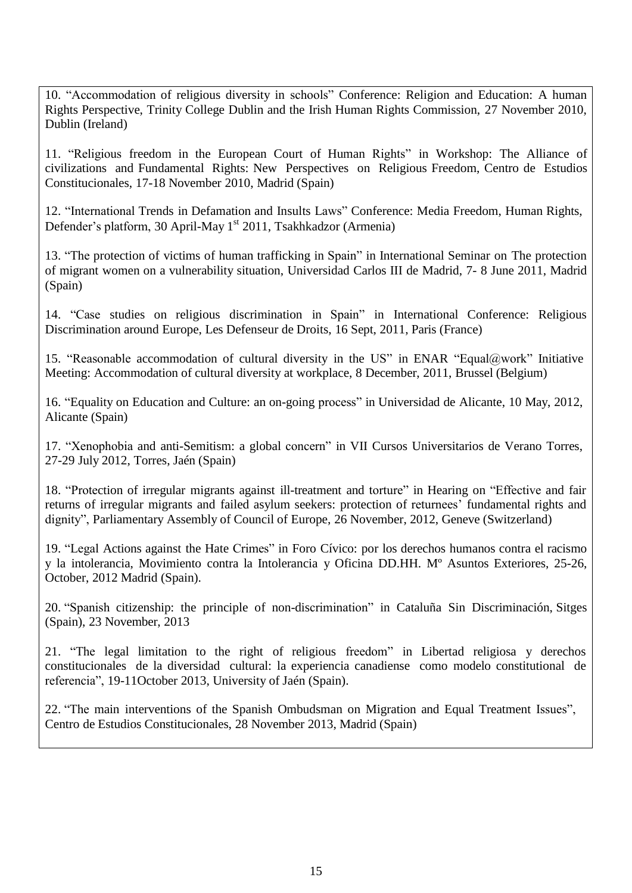10. "Accommodation of religious diversity in schools" Conference: Religion and Education: A human Rights Perspective, Trinity College Dublin and the Irish Human Rights Commission, 27 November 2010, Dublin (Ireland)

11. "Religious freedom in the European Court of Human Rights" in Workshop: The Alliance of civilizations and Fundamental Rights: New Perspectives on Religious Freedom, Centro de Estudios Constitucionales, 17-18 November 2010, Madrid (Spain)

12. "International Trends in Defamation and Insults Laws" Conference: Media Freedom, Human Rights, Defender's platform, 30 April-May 1<sup>st</sup> 2011, Tsakhkadzor (Armenia)

13. "The protection of victims of human trafficking in Spain" in International Seminar on The protection of migrant women on a vulnerability situation, Universidad Carlos III de Madrid, 7- 8 June 2011, Madrid (Spain)

14. "Case studies on religious discrimination in Spain" in International Conference: Religious Discrimination around Europe, Les Defenseur de Droits, 16 Sept, 2011, Paris (France)

15. "Reasonable accommodation of cultural diversity in the US" in ENAR "Equal@work" Initiative Meeting: Accommodation of cultural diversity at workplace, 8 December, 2011, Brussel (Belgium)

16. "Equality on Education and Culture: an on-going process" in Universidad de Alicante, 10 May, 2012, Alicante (Spain)

17. "Xenophobia and anti-Semitism: a global concern" in VII Cursos Universitarios de Verano Torres, 27-29 July 2012, Torres, Jaén (Spain)

18. "Protection of irregular migrants against ill-treatment and torture" in Hearing on "Effective and fair returns of irregular migrants and failed asylum seekers: protection of returnees' fundamental rights and dignity", Parliamentary Assembly of Council of Europe, 26 November, 2012, Geneve (Switzerland)

19. "Legal Actions against the Hate Crimes" in Foro Cívico: por los derechos humanos contra el racismo y la intolerancia, Movimiento contra la Intolerancia y Oficina DD.HH. Mº Asuntos Exteriores, 25-26, October, 2012 Madrid (Spain).

20. "Spanish citizenship: the principle of non-discrimination" in Cataluña Sin Discriminación, Sitges (Spain), 23 November, 2013

21. "The legal limitation to the right of religious freedom" in Libertad religiosa y derechos constitucionales de la diversidad cultural: la experiencia canadiense como modelo constitutional de referencia", 19-11October 2013, University of Jaén (Spain).

22. "The main interventions of the Spanish Ombudsman on Migration and Equal Treatment Issues", Centro de Estudios Constitucionales, 28 November 2013, Madrid (Spain)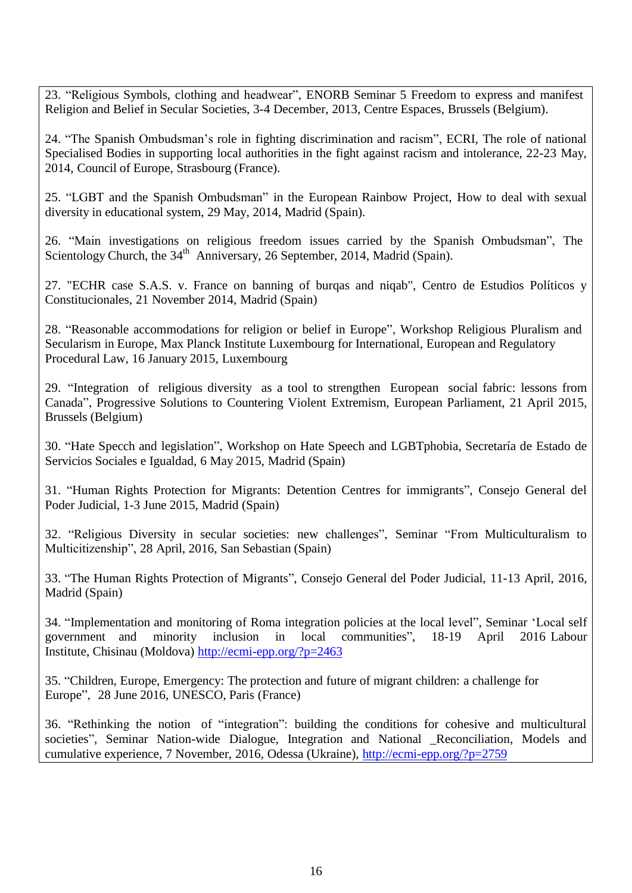23. "Religious Symbols, clothing and headwear", ENORB Seminar 5 Freedom to express and manifest Religion and Belief in Secular Societies, 3-4 December, 2013, Centre Espaces, Brussels (Belgium).

24. "The Spanish Ombudsman's role in fighting discrimination and racism", ECRI, The role of national Specialised Bodies in supporting local authorities in the fight against racism and intolerance, 22-23 May, 2014, Council of Europe, Strasbourg (France).

25. "LGBT and the Spanish Ombudsman" in the European Rainbow Project, How to deal with sexual diversity in educational system, 29 May, 2014, Madrid (Spain).

26. "Main investigations on religious freedom issues carried by the Spanish Ombudsman", The Scientology Church, the  $34<sup>th</sup>$  Anniversary, 26 September, 2014, Madrid (Spain).

27. "ECHR case S.A.S. v. France on banning of burqas and niqab", Centro de Estudios Políticos y Constitucionales, 21 November 2014, Madrid (Spain)

28. "Reasonable accommodations for religion or belief in Europe", Workshop Religious Pluralism and Secularism in Europe, Max Planck Institute Luxembourg for International, European and Regulatory Procedural Law, 16 January 2015, Luxembourg

29. "Integration of religious diversity as a tool to strengthen European social fabric: lessons from Canada", Progressive Solutions to Countering Violent Extremism, European Parliament, 21 April 2015, Brussels (Belgium)

30. "Hate Specch and legislation", Workshop on Hate Speech and LGBTphobia, Secretaría de Estado de Servicios Sociales e Igualdad, 6 May 2015, Madrid (Spain)

31. "Human Rights Protection for Migrants: Detention Centres for immigrants", Consejo General del Poder Judicial, 1-3 June 2015, Madrid (Spain)

32. "Religious Diversity in secular societies: new challenges", Seminar "From Multiculturalism to Multicitizenship", 28 April, 2016, San Sebastian (Spain)

33. "The Human Rights Protection of Migrants", Consejo General del Poder Judicial, 11-13 April, 2016, Madrid (Spain)

34. "Implementation and monitoring of Roma integration policies at the local level", Seminar 'Local self government and minority inclusion in local communities", 18-19 April 2016 Labour Institute, Chisinau (Moldova) <http://ecmi-epp.org/?p=2463>

35. "Children, Europe, Emergency: The protection and future of migrant children: a challenge for Europe", 28 June 2016, UNESCO, Paris (France)

36. "Rethinking the notion of "integration": building the conditions for cohesive and multicultural societies", Seminar Nation-wide Dialogue, Integration and National Reconciliation, Models and cumulative experience, 7 November, 2016, Odessa (Ukraine), <http://ecmi-epp.org/?p=2759>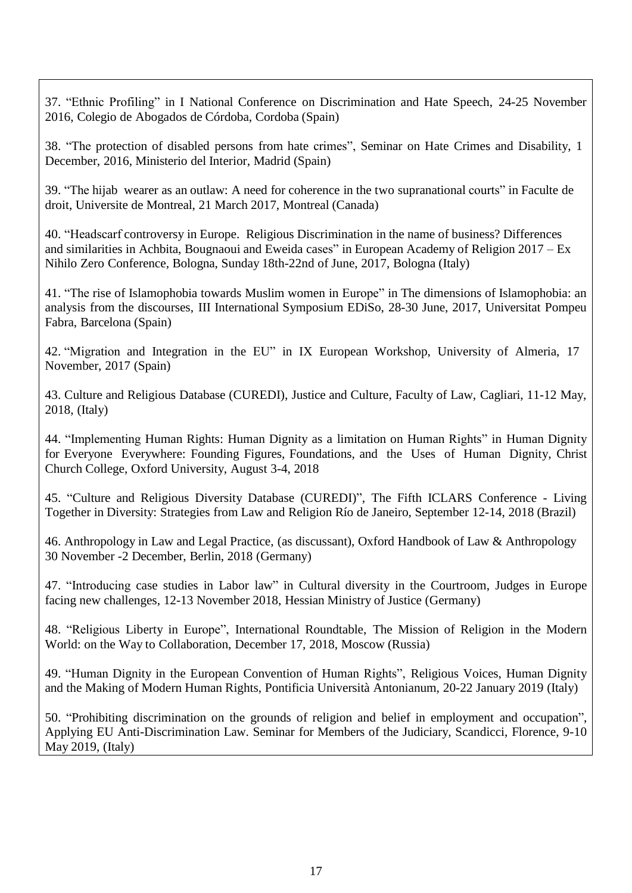37. "Ethnic Profiling" in I National Conference on Discrimination and Hate Speech, 24-25 November 2016, Colegio de Abogados de Córdoba, Cordoba (Spain)

38. "The protection of disabled persons from hate crimes", Seminar on Hate Crimes and Disability, 1 December, 2016, Ministerio del Interior, Madrid (Spain)

39. "The hijab wearer as an outlaw: A need for coherence in the two supranational courts" in Faculte de droit, Universite de Montreal, 21 March 2017, Montreal (Canada)

40. "Headscarf controversy in Europe. Religious Discrimination in the name of business? Differences and similarities in Achbita, Bougnaoui and Eweida cases" in European Academy of Religion 2017 – Ex Nihilo Zero Conference, Bologna, Sunday 18th-22nd of June, 2017, Bologna (Italy)

41. "The rise of Islamophobia towards Muslim women in Europe" in The dimensions of Islamophobia: an analysis from the discourses, III International Symposium EDiSo, 28-30 June, 2017, Universitat Pompeu Fabra, Barcelona (Spain)

42. "Migration and Integration in the EU" in IX European Workshop, University of Almeria, 17 November, 2017 (Spain)

43. Culture and Religious Database (CUREDI), Justice and Culture, Faculty of Law, Cagliari, 11-12 May, 2018, (Italy)

44. "Implementing Human Rights: Human Dignity as a limitation on Human Rights" in Human Dignity for Everyone Everywhere: Founding Figures, Foundations, and the Uses of Human Dignity, Christ Church College, Oxford University, August 3-4, 2018

45. "Culture and Religious Diversity Database (CUREDI)", The Fifth ICLARS Conference - Living Together in Diversity: Strategies from Law and Religion Río de Janeiro, September 12-14, 2018 (Brazil)

46. Anthropology in Law and Legal Practice, (as discussant), Oxford Handbook of Law & Anthropology 30 November -2 December, Berlin, 2018 (Germany)

47. "Introducing case studies in Labor law" in Cultural diversity in the Courtroom, Judges in Europe facing new challenges, 12-13 November 2018, Hessian Ministry of Justice (Germany)

48. "Religious Liberty in Europe", International Roundtable, The Mission of Religion in the Modern World: on the Way to Collaboration, December 17, 2018, Moscow (Russia)

49. "Human Dignity in the European Convention of Human Rights", Religious Voices, Human Dignity and the Making of Modern Human Rights, Pontificia Università Antonianum, 20-22 January 2019 (Italy)

50. "Prohibiting discrimination on the grounds of religion and belief in employment and occupation", Applying EU Anti-Discrimination Law. Seminar for Members of the Judiciary, Scandicci, Florence, 9-10 May 2019, (Italy)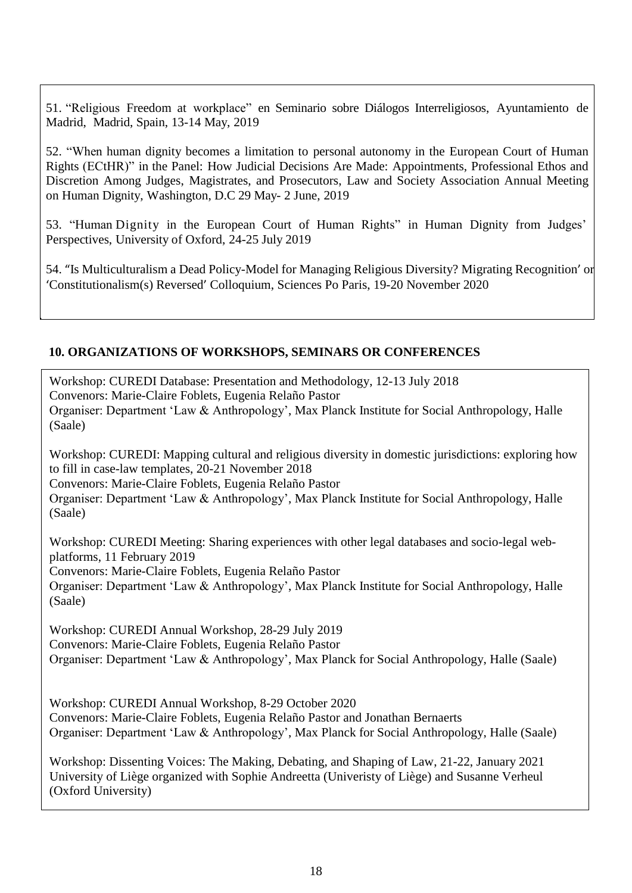51. "Religious Freedom at workplace" en Seminario sobre Diálogos Interreligiosos, Ayuntamiento de Madrid, Madrid, Spain, 13-14 May, 2019

52. "When human dignity becomes a limitation to personal autonomy in the European Court of Human Rights (ECtHR)" in the Panel: How Judicial Decisions Are Made: Appointments, Professional Ethos and Discretion Among Judges, Magistrates, and Prosecutors, Law and Society Association Annual Meeting on Human Dignity, Washington, D.C 29 May- 2 June, 2019

53. "Human Dignity in the European Court of Human Rights" in Human Dignity from Judges' Perspectives, University of Oxford, 24-25 July 2019

54. "Is Multiculturalism a Dead Policy-Model for Managing Religious Diversity? Migrating Recognition' or 'Constitutionalism(s) Reversed' Colloquium, Sciences Po Paris, 19-20 November 2020

#### **10. ORGANIZATIONS OF WORKSHOPS, SEMINARS OR CONFERENCES**

Workshop: CUREDI Database: Presentation and Methodology, 12-13 July 2018 Convenors: Marie-Claire Foblets, Eugenia Relaño Pastor Organiser: Department 'Law & Anthropology', Max Planck Institute for Social Anthropology, Halle (Saale)

Workshop: CUREDI: Mapping cultural and religious diversity in domestic jurisdictions: exploring how to fill in case-law templates, 20-21 November 2018

Convenors: Marie-Claire Foblets, Eugenia Relaño Pastor

54.

Organiser: Department 'Law & Anthropology', Max Planck Institute for Social Anthropology, Halle (Saale)

Workshop: CUREDI Meeting: Sharing experiences with other legal databases and socio-legal webplatforms, 11 February 2019 Convenors: Marie-Claire Foblets, Eugenia Relaño Pastor

Organiser: Department 'Law & Anthropology', Max Planck Institute for Social Anthropology, Halle (Saale)

Workshop: CUREDI Annual Workshop, 28-29 July 2019 Convenors: Marie-Claire Foblets, Eugenia Relaño Pastor Organiser: Department 'Law & Anthropology', Max Planck for Social Anthropology, Halle (Saale)

Workshop: CUREDI Annual Workshop, 8-29 October 2020 Convenors: Marie-Claire Foblets, Eugenia Relaño Pastor and Jonathan Bernaerts Organiser: Department 'Law & Anthropology', Max Planck for Social Anthropology, Halle (Saale)

Workshop: Dissenting Voices: The Making, Debating, and Shaping of Law, 21-22, January 2021 University of Liège organized with Sophie Andreetta (Univeristy of Liège) and Susanne Verheul (Oxford University)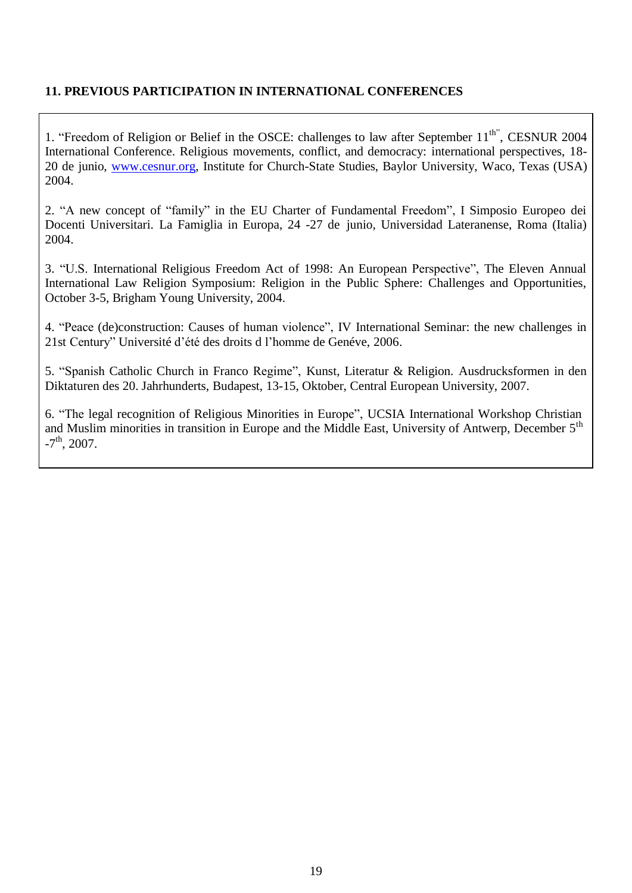## **11. PREVIOUS PARTICIPATION IN INTERNATIONAL CONFERENCES**

1. "Freedom of Religion or Belief in the OSCE: challenges to law after September 11<sup>th"</sup>, CESNUR 2004 International Conference. Religious movements, conflict, and democracy: international perspectives, 18- 20 de junio, [www.cesnur.org,](http://www.cesnur.org/) Institute for Church-State Studies, Baylor University, Waco, Texas (USA) 2004.

2. "A new concept of "family" in the EU Charter of Fundamental Freedom", I Simposio Europeo dei Docenti Universitari. La Famiglia in Europa, 24 -27 de junio, Universidad Lateranense, Roma (Italia) 2004.

3. "U.S. International Religious Freedom Act of 1998: An European Perspective", The Eleven Annual International Law Religion Symposium: Religion in the Public Sphere: Challenges and Opportunities, October 3-5, Brigham Young University, 2004.

4. "Peace (de)construction: Causes of human violence", IV International Seminar: the new challenges in 21st Century" Université d'été des droits d l'homme de Genéve, 2006.

5. "Spanish Catholic Church in Franco Regime", Kunst, Literatur & Religion. Ausdrucksformen in den Diktaturen des 20. Jahrhunderts, Budapest, 13-15, Oktober, Central European University, 2007.

6. "The legal recognition of Religious Minorities in Europe", UCSIA International Workshop Christian and Muslim minorities in transition in Europe and the Middle East, University of Antwerp, December 5<sup>th</sup>  $-7<sup>th</sup>$ , 2007.